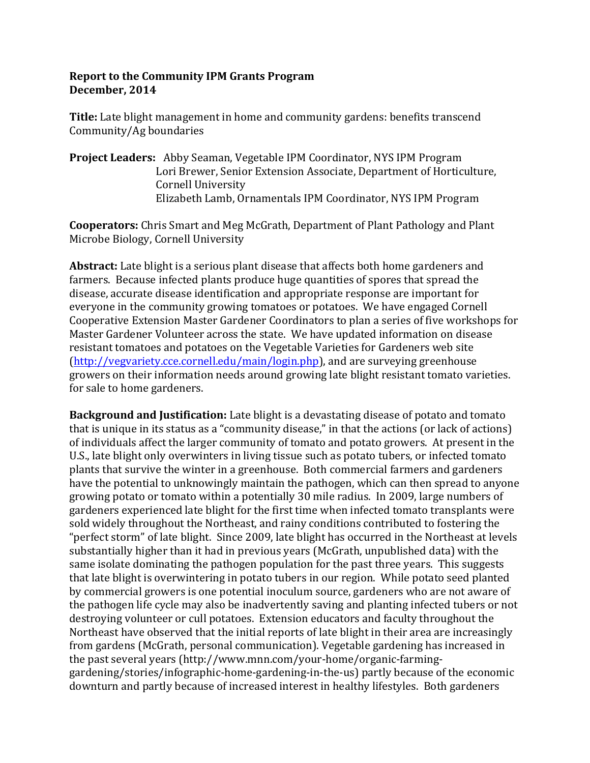## **Report to the Community IPM Grants Program December, 2014**

**Title:** Late blight management in home and community gardens: benefits transcend Community/Ag boundaries

**Project Leaders:** Abby Seaman, Vegetable IPM Coordinator, NYS IPM Program Lori Brewer, Senior Extension Associate, Department of Horticulture, Cornell University Elizabeth Lamb, Ornamentals IPM Coordinator, NYS IPM Program

**Cooperators:** Chris Smart and Meg McGrath, Department of Plant Pathology and Plant Microbe Biology, Cornell University

**Abstract:** Late blight is a serious plant disease that affects both home gardeners and farmers. Because infected plants produce huge quantities of spores that spread the disease, accurate disease identification and appropriate response are important for everyone in the community growing tomatoes or potatoes. We have engaged Cornell Cooperative Extension Master Gardener Coordinators to plan a series of five workshops for Master Gardener Volunteer across the state. We have updated information on disease resistant tomatoes and potatoes on the Vegetable Varieties for Gardeners web site  $(\text{http://vegvariety.cce.cornell.edu/main/login.php})$ , and are surveying greenhouse growers on their information needs around growing late blight resistant tomato varieties. for sale to home gardeners.

**Background and Justification:** Late blight is a devastating disease of potato and tomato that is unique in its status as a "community disease," in that the actions (or lack of actions) of individuals affect the larger community of tomato and potato growers. At present in the U.S., late blight only overwinters in living tissue such as potato tubers, or infected tomato plants that survive the winter in a greenhouse. Both commercial farmers and gardeners have the potential to unknowingly maintain the pathogen, which can then spread to anyone growing potato or tomato within a potentially 30 mile radius. In 2009, large numbers of gardeners experienced late blight for the first time when infected tomato transplants were sold widely throughout the Northeast, and rainy conditions contributed to fostering the "perfect storm" of late blight. Since 2009, late blight has occurred in the Northeast at levels substantially higher than it had in previous years (McGrath, unpublished data) with the same isolate dominating the pathogen population for the past three years. This suggests that late blight is overwintering in potato tubers in our region. While potato seed planted by commercial growers is one potential inoculum source, gardeners who are not aware of the pathogen life cycle may also be inadvertently saving and planting infected tubers or not destroying volunteer or cull potatoes. Extension educators and faculty throughout the Northeast have observed that the initial reports of late blight in their area are increasingly from gardens (McGrath, personal communication). Vegetable gardening has increased in the past several years (http://www.mnn.com/your-home/organic-farminggardening/stories/infographic-home-gardening-in-the-us) partly because of the economic downturn and partly because of increased interest in healthy lifestyles. Both gardeners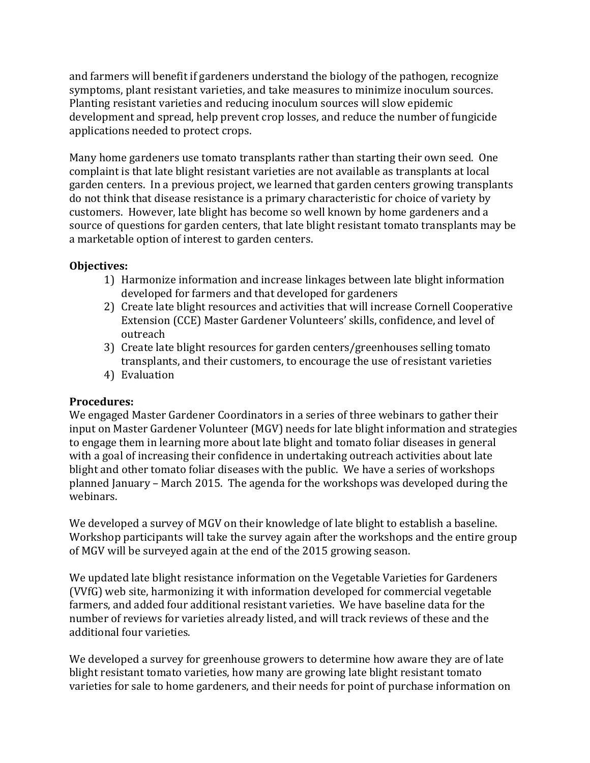and farmers will benefit if gardeners understand the biology of the pathogen, recognize symptoms, plant resistant varieties, and take measures to minimize inoculum sources. Planting resistant varieties and reducing inoculum sources will slow epidemic development and spread, help prevent crop losses, and reduce the number of fungicide applications needed to protect crops.

Many home gardeners use tomato transplants rather than starting their own seed. One complaint is that late blight resistant varieties are not available as transplants at local garden centers. In a previous project, we learned that garden centers growing transplants do not think that disease resistance is a primary characteristic for choice of variety by customers. However, late blight has become so well known by home gardeners and a source of questions for garden centers, that late blight resistant tomato transplants may be a marketable option of interest to garden centers.

## **Objectives:**

- 1) Harmonize information and increase linkages between late blight information developed for farmers and that developed for gardeners
- 2) Create late blight resources and activities that will increase Cornell Cooperative Extension (CCE) Master Gardener Volunteers' skills, confidence, and level of outreach
- 3) Create late blight resources for garden centers/greenhouses selling tomato transplants, and their customers, to encourage the use of resistant varieties
- 4) Evaluation

### **Procedures:**

We engaged Master Gardener Coordinators in a series of three webinars to gather their input on Master Gardener Volunteer (MGV) needs for late blight information and strategies to engage them in learning more about late blight and tomato foliar diseases in general with a goal of increasing their confidence in undertaking outreach activities about late blight and other tomato foliar diseases with the public. We have a series of workshops planned January – March 2015. The agenda for the workshops was developed during the webinars. 

We developed a survey of MGV on their knowledge of late blight to establish a baseline. Workshop participants will take the survey again after the workshops and the entire group of MGV will be surveyed again at the end of the 2015 growing season.

We updated late blight resistance information on the Vegetable Varieties for Gardeners (VVfG) web site, harmonizing it with information developed for commercial vegetable farmers, and added four additional resistant varieties. We have baseline data for the number of reviews for varieties already listed, and will track reviews of these and the additional four varieties.

We developed a survey for greenhouse growers to determine how aware they are of late blight resistant tomato varieties, how many are growing late blight resistant tomato varieties for sale to home gardeners, and their needs for point of purchase information on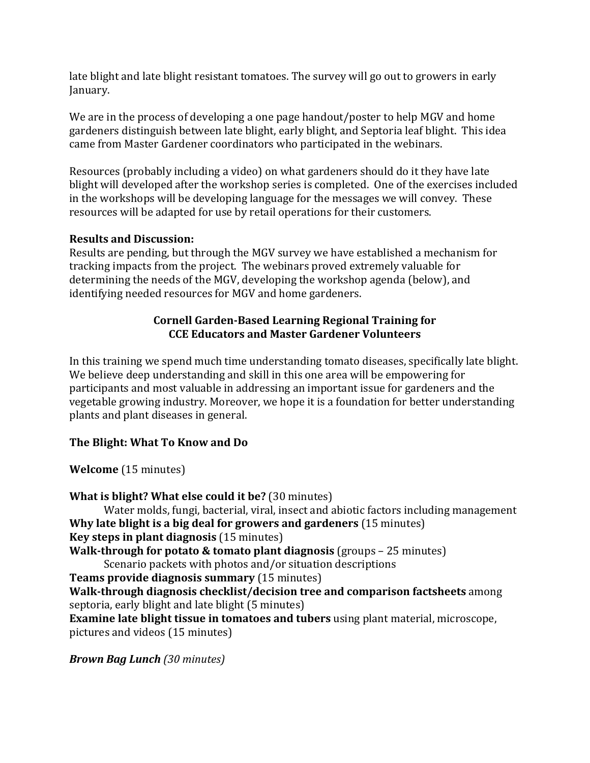late blight and late blight resistant tomatoes. The survey will go out to growers in early January.

We are in the process of developing a one page handout/poster to help MGV and home gardeners distinguish between late blight, early blight, and Septoria leaf blight. This idea came from Master Gardener coordinators who participated in the webinars.

Resources (probably including a video) on what gardeners should do it they have late blight will developed after the workshop series is completed. One of the exercises included in the workshops will be developing language for the messages we will convey. These resources will be adapted for use by retail operations for their customers.

## **Results and Discussion:**

Results are pending, but through the MGV survey we have established a mechanism for tracking impacts from the project. The webinars proved extremely valuable for determining the needs of the MGV, developing the workshop agenda (below), and identifying needed resources for MGV and home gardeners.

# **Cornell Garden-Based Learning Regional Training for CCE Educators and Master Gardener Volunteers**

In this training we spend much time understanding tomato diseases, specifically late blight. We believe deep understanding and skill in this one area will be empowering for participants and most valuable in addressing an important issue for gardeners and the vegetable growing industry. Moreover, we hope it is a foundation for better understanding plants and plant diseases in general.

# The Blight: What To Know and Do

**Welcome** (15 minutes)

**What is blight? What else could it be?** (30 minutes) Water molds, fungi, bacterial, viral, insect and abiotic factors including management **Why late blight is a big deal for growers and gardeners** (15 minutes) **Key steps in plant diagnosis** (15 minutes) **Walk-through for potato & tomato plant diagnosis** (groups – 25 minutes) Scenario packets with photos and/or situation descriptions **Teams provide diagnosis summary** (15 minutes) **Walk-through diagnosis checklist/decision tree and comparison factsheets** among septoria, early blight and late blight (5 minutes) **Examine late blight tissue in tomatoes and tubers** using plant material, microscope, pictures and videos (15 minutes)

*Brown Bag Lunch (30 minutes)*